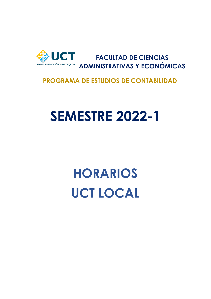

**FACULTAD DE CIENCIAS ADMINISTRATIVAS Y ECONÓMICAS**

### **PROGRAMA DE ESTUDIOS DE CONTABILIDAD**

### **SEMESTRE 2022-1**

### **HORARIOS UCT LOCAL**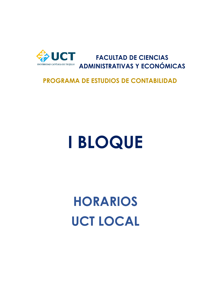

**FACULTAD DE CIENCIAS ADMINISTRATIVAS Y ECONÓMICAS** 

#### **PROGRAMA DE ESTUDIOS DE CONTABILIDAD**

# **I BLOQUE**

## **HORARIOS UCT LOCAL**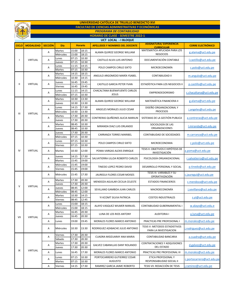

TOLICA OF

PROGRAMA DE CONTABILIDAD

HORARIO DE CLASE - SEMESTRE 2022-1

|  | UCT LOCAL - I BLOQUE |
|--|----------------------|
|  |                      |

| <b>SECCIÓN</b><br><b>Horario</b><br><b>CICLO</b><br><b>MODALIDAD</b><br>Día<br><b>CORRE ELECTRÓNICO</b><br><b>APELLIDOS Y NOMBRES DEL DOCENTE</b><br><b>CURRICULAR</b><br>MATEMÁTICA APLICADA PARA LOS<br>15:00<br>18:15<br>Martes<br>g.alama@uct.edu.pe<br>Α<br>ALAMA QUIROZ GEORGE WILLIAM<br><b>NEGOCIOS</b><br>Miércoles<br>15:00<br>18:15<br>07:15<br>10:30<br>Lunes<br><b>VIRTUAL</b><br>Α<br>DOCUMENTACIÓN CONTABLE<br>l.castillo@uct.edu.pe<br>CASTILLO ALVA LUIS ANTONIO<br>$\overline{\phantom{a}}$<br>07:15<br>10:30<br>Jueves<br>11:15<br>14:15<br>Lunes<br>POLO CAMPOS CIRILO SIXTO<br>MICROECONOMÍA<br>c.polo@uct.edu.pe<br>Α<br>07:15<br>10:30<br>Martes<br>18:15<br>14:15<br>Martes<br>Α<br>m.angulo@uct.edu.pe<br>ANGULO ARGOMEDO MARÍA YSABEL<br><b>CONTABILIDAD II</b><br>14:15<br>10:30<br>Miércoles<br>19:45<br>16:45<br>Jueves<br><b>VIRTUAL</b><br>CASTILLO GARCIA PETER YVAN<br>ESTADÍSTICA PARA LOS NEGOCIOS II<br>p.castillo@uct.edu.pe<br>Ш<br>Α<br>16:45<br>19:45<br>Viernes<br>11:15<br>14:15<br>Lunes<br>CHACALTANA BUENAFUENTE CARLOS<br>Α<br>c.chacaltana@uct.edu.pe<br><b>EMPRENDEDORISMO</b><br>07:15<br>10:30<br><b>JESUS</b><br>Miércoles<br>10:30<br>13:30<br>Martes<br>MATEMÁTICA FINANCIERA II<br>Α<br>ALAMA QUIROZ GEORGE WILLIAM<br>g.alama@uct.edu.pe<br>10:30<br>13:30<br>Jueves<br>14:15<br>17:30<br>DISEÑO ORGANIZACIONAL Y<br>Lunes<br>j.angeles@uct.edu.pe<br>Α<br>ANGELES MORALES JULIO CESAR<br><b>PROCESOS</b><br>13:30<br>10:30<br>Miércoles<br><b>VIRTUAL</b><br>Ш<br>$\overline{17:30}$<br>20:30<br>Martes<br>CONTRERAS QUIÑONES ALICIA MARILIN<br>SISTEMAS DE LA GESTIÓN PUBLICA<br>Α<br>a.contreras@uct.edu.pe<br>17:30<br>20:30<br>Jueves<br>08:45<br>10:30<br>SOCIOLOGÍA DE LAS<br>Martes<br>l.miranda@uct.edu.pe<br>Α<br>MIRANDA DIAZ LUIS ORLANDO<br>ORGANIZACIONES<br>10:30<br>08:45<br>Jueves<br>20:30<br>17:30<br>Jueves<br>Α<br><b>CARRANZA TORRES MARIBEL</b><br>CONTABILIDAD DE SOCIEDADES<br>m.carranza@uct.edu.pe<br>07:15<br>10:30<br>Miércoles<br>07:15<br>10:30<br>Lunes<br>POLO CAMPOS CIRILO SIXTO<br><b>MICROECONOMIA</b><br>c.polo@uct.edu.pe<br>Α<br>07:15<br>10:30<br>Viernes<br>TESIS II: OBJETIVOS E HIPÓTESIS DE<br><b>VIRTUAL</b><br>IV<br>12:00<br>Α<br>10:30<br>POMA VARGAS ALEXIS ENRIQUE<br>Martes<br>a.poma@uct.edu.pe<br>INVESTIGACIÓN<br>14:15<br>17:30<br>Jueves<br>PSICOLOGÍA ORGANIZACIONAL<br>SALVATIERRA ULLOA ROBERTO CARLOS<br>r.salvatierra@uct.edu.pe<br>Α<br>15:45<br>19:00<br>Martes<br>15:45<br>19:00<br>Miércoles<br>p.tinedo@uct.edu.pe<br>Α<br>TINEDO LOPEZ PEDRO DAVID<br>DESARROLLO PERSONAL Y SOCIAL<br>19:00<br>15:45<br>Viernes<br>TESIS III: VARIABLES Y SU<br>15:45<br>17:30<br>Α<br>Miércoles<br>c.jauregui@uct.edu.pe<br>JAUREGUI FLORES CESAR MOISES<br>OPERATIVIZACIÓN<br>17:30<br>20:30<br>Martes<br>c.mendoza@uct.edu.pe<br>Α<br>MENDOZA AGUILAR CECILIA CELESTE<br><b>ESTADOS FINANCIEROS</b><br>17:30<br>20:30<br>Jueves<br><b>VIRTUAL</b><br>$\vee$<br>08:45<br>12:00<br>Jueves<br>Α<br>MACROECONOMÍA<br>j.sevillano@uct.edu.pe<br>SEVILLANO GAMBOA JUAN CARLOS<br>08:45<br>12:00<br>Miércoles<br>14:15<br>10:30<br>Martes<br>YI KCOMT SILVIA PATRICIA<br><b>COSTOS INDUSTRIALES</b><br>Α<br>s.yi@uct.edu.pe<br>08:45<br>12:45<br>Viernes<br>15:00<br>18:15<br>Lunes<br>w.alayo@uct.edu.e<br>Α<br>CONTABILIDAD GUBERNAMENTAL I<br>ALAYO VASQUEZ WILMER MANUEL<br>18:15<br>15:00<br>Miércoles<br>20:30<br>16:45<br>Martes<br><b>AUDITORIA I</b><br>a.luna@uct.edu.pe<br>Α<br>LUNA DE LOS RIOS ANTONY<br>16:45<br>20:30<br>Jueves<br>VII<br><b>VIRTUAL</b><br>19:45<br>Α<br>19:00<br>PRACTICAS PRE PROFESIONAL I<br>m.morales@uct.edu.pe<br>Lunes<br>MORALES FLORES MARCO ANTONIO<br>TESIS V: METODOS ESTADISTIVOS<br>Miércoles<br>10:30<br>13:30<br>j.rodriguez@uct.edu.pe<br>A<br>RODRIGUEZ AZABACHE JULIO ANTONIO<br>PARA LA INVESTIGACION<br>17:30<br>20:30<br>Viernes<br>a.cuadra@uct.edu.pe<br>Α<br>CONTABILIDAD BANCARIA<br>CUADRA MIDZUARAY ANA MARIA<br>17:30<br>20:30<br>Sábado<br>17:30<br>20:30<br>CONTRATACIONES Y ADQUISIONES<br>Martes<br>d.galvez@uct.edu.pe<br>GALVEZ CABANILLAS DANY ROLANDO<br>Α<br>DEL ESTADO<br>17:30<br>20:30<br>Jueves<br><b>VIRTUAL</b><br>IX<br>16:45<br>17:30<br>Α<br>MORALES FLORES MARCO ANTONIO<br>PRACTICAS PRE PROFESIONAL III<br>m.morales@uct.edu.pe<br>Lunes<br>07:15<br>10:30<br>PORTOCARRERO GUTIERREZ CESAR<br>ETICA PROFESIONAL Y<br>Lunes<br>c.portocarrero@uct.edu.pe<br>Α<br><b>AUGUSTO</b><br>RESPONSABILIDAD SOCIAL II<br>07:15<br>10:30<br>Martes<br>TESIS VII: REDACCIÓN DE TESIS<br>Α<br>14:15<br>RAMIREZ GARCIA JAIME ROBERTO<br>j.ramirez@uct.edu.pe<br>Viernes<br>17:30 |  | ULI LULAL - I DLUQUE<br><b>ASIGNATURA/ EXPERIENCIA</b> |  |  |  |  |  |  |  |
|--------------------------------------------------------------------------------------------------------------------------------------------------------------------------------------------------------------------------------------------------------------------------------------------------------------------------------------------------------------------------------------------------------------------------------------------------------------------------------------------------------------------------------------------------------------------------------------------------------------------------------------------------------------------------------------------------------------------------------------------------------------------------------------------------------------------------------------------------------------------------------------------------------------------------------------------------------------------------------------------------------------------------------------------------------------------------------------------------------------------------------------------------------------------------------------------------------------------------------------------------------------------------------------------------------------------------------------------------------------------------------------------------------------------------------------------------------------------------------------------------------------------------------------------------------------------------------------------------------------------------------------------------------------------------------------------------------------------------------------------------------------------------------------------------------------------------------------------------------------------------------------------------------------------------------------------------------------------------------------------------------------------------------------------------------------------------------------------------------------------------------------------------------------------------------------------------------------------------------------------------------------------------------------------------------------------------------------------------------------------------------------------------------------------------------------------------------------------------------------------------------------------------------------------------------------------------------------------------------------------------------------------------------------------------------------------------------------------------------------------------------------------------------------------------------------------------------------------------------------------------------------------------------------------------------------------------------------------------------------------------------------------------------------------------------------------------------------------------------------------------------------------------------------------------------------------------------------------------------------------------------------------------------------------------------------------------------------------------------------------------------------------------------------------------------------------------------------------------------------------------------------------------------------------------------------------------------------------------------------------------------------------------------------------------------------------------------------------------------------------------------------------------------------------------------------------------------------------------------------------------------------------------------------------------------------------------------------------------------------------------------------------------------------------------------------------------------------------------------------------------------------------------------------------------------------------------------------------------------------------------------------------------------------------------------------------------------------------------------------------------------------------------------------------------------------------------------------------------------------------------------------------------------------------------------------------------------------------------------------------------------------------------------------|--|--------------------------------------------------------|--|--|--|--|--|--|--|
|                                                                                                                                                                                                                                                                                                                                                                                                                                                                                                                                                                                                                                                                                                                                                                                                                                                                                                                                                                                                                                                                                                                                                                                                                                                                                                                                                                                                                                                                                                                                                                                                                                                                                                                                                                                                                                                                                                                                                                                                                                                                                                                                                                                                                                                                                                                                                                                                                                                                                                                                                                                                                                                                                                                                                                                                                                                                                                                                                                                                                                                                                                                                                                                                                                                                                                                                                                                                                                                                                                                                                                                                                                                                                                                                                                                                                                                                                                                                                                                                                                                                                                                                                                                                                                                                                                                                                                                                                                                                                                                                                                                                                                                              |  |                                                        |  |  |  |  |  |  |  |
|                                                                                                                                                                                                                                                                                                                                                                                                                                                                                                                                                                                                                                                                                                                                                                                                                                                                                                                                                                                                                                                                                                                                                                                                                                                                                                                                                                                                                                                                                                                                                                                                                                                                                                                                                                                                                                                                                                                                                                                                                                                                                                                                                                                                                                                                                                                                                                                                                                                                                                                                                                                                                                                                                                                                                                                                                                                                                                                                                                                                                                                                                                                                                                                                                                                                                                                                                                                                                                                                                                                                                                                                                                                                                                                                                                                                                                                                                                                                                                                                                                                                                                                                                                                                                                                                                                                                                                                                                                                                                                                                                                                                                                                              |  |                                                        |  |  |  |  |  |  |  |
|                                                                                                                                                                                                                                                                                                                                                                                                                                                                                                                                                                                                                                                                                                                                                                                                                                                                                                                                                                                                                                                                                                                                                                                                                                                                                                                                                                                                                                                                                                                                                                                                                                                                                                                                                                                                                                                                                                                                                                                                                                                                                                                                                                                                                                                                                                                                                                                                                                                                                                                                                                                                                                                                                                                                                                                                                                                                                                                                                                                                                                                                                                                                                                                                                                                                                                                                                                                                                                                                                                                                                                                                                                                                                                                                                                                                                                                                                                                                                                                                                                                                                                                                                                                                                                                                                                                                                                                                                                                                                                                                                                                                                                                              |  |                                                        |  |  |  |  |  |  |  |
|                                                                                                                                                                                                                                                                                                                                                                                                                                                                                                                                                                                                                                                                                                                                                                                                                                                                                                                                                                                                                                                                                                                                                                                                                                                                                                                                                                                                                                                                                                                                                                                                                                                                                                                                                                                                                                                                                                                                                                                                                                                                                                                                                                                                                                                                                                                                                                                                                                                                                                                                                                                                                                                                                                                                                                                                                                                                                                                                                                                                                                                                                                                                                                                                                                                                                                                                                                                                                                                                                                                                                                                                                                                                                                                                                                                                                                                                                                                                                                                                                                                                                                                                                                                                                                                                                                                                                                                                                                                                                                                                                                                                                                                              |  |                                                        |  |  |  |  |  |  |  |
|                                                                                                                                                                                                                                                                                                                                                                                                                                                                                                                                                                                                                                                                                                                                                                                                                                                                                                                                                                                                                                                                                                                                                                                                                                                                                                                                                                                                                                                                                                                                                                                                                                                                                                                                                                                                                                                                                                                                                                                                                                                                                                                                                                                                                                                                                                                                                                                                                                                                                                                                                                                                                                                                                                                                                                                                                                                                                                                                                                                                                                                                                                                                                                                                                                                                                                                                                                                                                                                                                                                                                                                                                                                                                                                                                                                                                                                                                                                                                                                                                                                                                                                                                                                                                                                                                                                                                                                                                                                                                                                                                                                                                                                              |  |                                                        |  |  |  |  |  |  |  |
|                                                                                                                                                                                                                                                                                                                                                                                                                                                                                                                                                                                                                                                                                                                                                                                                                                                                                                                                                                                                                                                                                                                                                                                                                                                                                                                                                                                                                                                                                                                                                                                                                                                                                                                                                                                                                                                                                                                                                                                                                                                                                                                                                                                                                                                                                                                                                                                                                                                                                                                                                                                                                                                                                                                                                                                                                                                                                                                                                                                                                                                                                                                                                                                                                                                                                                                                                                                                                                                                                                                                                                                                                                                                                                                                                                                                                                                                                                                                                                                                                                                                                                                                                                                                                                                                                                                                                                                                                                                                                                                                                                                                                                                              |  |                                                        |  |  |  |  |  |  |  |
|                                                                                                                                                                                                                                                                                                                                                                                                                                                                                                                                                                                                                                                                                                                                                                                                                                                                                                                                                                                                                                                                                                                                                                                                                                                                                                                                                                                                                                                                                                                                                                                                                                                                                                                                                                                                                                                                                                                                                                                                                                                                                                                                                                                                                                                                                                                                                                                                                                                                                                                                                                                                                                                                                                                                                                                                                                                                                                                                                                                                                                                                                                                                                                                                                                                                                                                                                                                                                                                                                                                                                                                                                                                                                                                                                                                                                                                                                                                                                                                                                                                                                                                                                                                                                                                                                                                                                                                                                                                                                                                                                                                                                                                              |  |                                                        |  |  |  |  |  |  |  |
|                                                                                                                                                                                                                                                                                                                                                                                                                                                                                                                                                                                                                                                                                                                                                                                                                                                                                                                                                                                                                                                                                                                                                                                                                                                                                                                                                                                                                                                                                                                                                                                                                                                                                                                                                                                                                                                                                                                                                                                                                                                                                                                                                                                                                                                                                                                                                                                                                                                                                                                                                                                                                                                                                                                                                                                                                                                                                                                                                                                                                                                                                                                                                                                                                                                                                                                                                                                                                                                                                                                                                                                                                                                                                                                                                                                                                                                                                                                                                                                                                                                                                                                                                                                                                                                                                                                                                                                                                                                                                                                                                                                                                                                              |  |                                                        |  |  |  |  |  |  |  |
|                                                                                                                                                                                                                                                                                                                                                                                                                                                                                                                                                                                                                                                                                                                                                                                                                                                                                                                                                                                                                                                                                                                                                                                                                                                                                                                                                                                                                                                                                                                                                                                                                                                                                                                                                                                                                                                                                                                                                                                                                                                                                                                                                                                                                                                                                                                                                                                                                                                                                                                                                                                                                                                                                                                                                                                                                                                                                                                                                                                                                                                                                                                                                                                                                                                                                                                                                                                                                                                                                                                                                                                                                                                                                                                                                                                                                                                                                                                                                                                                                                                                                                                                                                                                                                                                                                                                                                                                                                                                                                                                                                                                                                                              |  |                                                        |  |  |  |  |  |  |  |
|                                                                                                                                                                                                                                                                                                                                                                                                                                                                                                                                                                                                                                                                                                                                                                                                                                                                                                                                                                                                                                                                                                                                                                                                                                                                                                                                                                                                                                                                                                                                                                                                                                                                                                                                                                                                                                                                                                                                                                                                                                                                                                                                                                                                                                                                                                                                                                                                                                                                                                                                                                                                                                                                                                                                                                                                                                                                                                                                                                                                                                                                                                                                                                                                                                                                                                                                                                                                                                                                                                                                                                                                                                                                                                                                                                                                                                                                                                                                                                                                                                                                                                                                                                                                                                                                                                                                                                                                                                                                                                                                                                                                                                                              |  |                                                        |  |  |  |  |  |  |  |
|                                                                                                                                                                                                                                                                                                                                                                                                                                                                                                                                                                                                                                                                                                                                                                                                                                                                                                                                                                                                                                                                                                                                                                                                                                                                                                                                                                                                                                                                                                                                                                                                                                                                                                                                                                                                                                                                                                                                                                                                                                                                                                                                                                                                                                                                                                                                                                                                                                                                                                                                                                                                                                                                                                                                                                                                                                                                                                                                                                                                                                                                                                                                                                                                                                                                                                                                                                                                                                                                                                                                                                                                                                                                                                                                                                                                                                                                                                                                                                                                                                                                                                                                                                                                                                                                                                                                                                                                                                                                                                                                                                                                                                                              |  |                                                        |  |  |  |  |  |  |  |
|                                                                                                                                                                                                                                                                                                                                                                                                                                                                                                                                                                                                                                                                                                                                                                                                                                                                                                                                                                                                                                                                                                                                                                                                                                                                                                                                                                                                                                                                                                                                                                                                                                                                                                                                                                                                                                                                                                                                                                                                                                                                                                                                                                                                                                                                                                                                                                                                                                                                                                                                                                                                                                                                                                                                                                                                                                                                                                                                                                                                                                                                                                                                                                                                                                                                                                                                                                                                                                                                                                                                                                                                                                                                                                                                                                                                                                                                                                                                                                                                                                                                                                                                                                                                                                                                                                                                                                                                                                                                                                                                                                                                                                                              |  |                                                        |  |  |  |  |  |  |  |
|                                                                                                                                                                                                                                                                                                                                                                                                                                                                                                                                                                                                                                                                                                                                                                                                                                                                                                                                                                                                                                                                                                                                                                                                                                                                                                                                                                                                                                                                                                                                                                                                                                                                                                                                                                                                                                                                                                                                                                                                                                                                                                                                                                                                                                                                                                                                                                                                                                                                                                                                                                                                                                                                                                                                                                                                                                                                                                                                                                                                                                                                                                                                                                                                                                                                                                                                                                                                                                                                                                                                                                                                                                                                                                                                                                                                                                                                                                                                                                                                                                                                                                                                                                                                                                                                                                                                                                                                                                                                                                                                                                                                                                                              |  |                                                        |  |  |  |  |  |  |  |
|                                                                                                                                                                                                                                                                                                                                                                                                                                                                                                                                                                                                                                                                                                                                                                                                                                                                                                                                                                                                                                                                                                                                                                                                                                                                                                                                                                                                                                                                                                                                                                                                                                                                                                                                                                                                                                                                                                                                                                                                                                                                                                                                                                                                                                                                                                                                                                                                                                                                                                                                                                                                                                                                                                                                                                                                                                                                                                                                                                                                                                                                                                                                                                                                                                                                                                                                                                                                                                                                                                                                                                                                                                                                                                                                                                                                                                                                                                                                                                                                                                                                                                                                                                                                                                                                                                                                                                                                                                                                                                                                                                                                                                                              |  |                                                        |  |  |  |  |  |  |  |
|                                                                                                                                                                                                                                                                                                                                                                                                                                                                                                                                                                                                                                                                                                                                                                                                                                                                                                                                                                                                                                                                                                                                                                                                                                                                                                                                                                                                                                                                                                                                                                                                                                                                                                                                                                                                                                                                                                                                                                                                                                                                                                                                                                                                                                                                                                                                                                                                                                                                                                                                                                                                                                                                                                                                                                                                                                                                                                                                                                                                                                                                                                                                                                                                                                                                                                                                                                                                                                                                                                                                                                                                                                                                                                                                                                                                                                                                                                                                                                                                                                                                                                                                                                                                                                                                                                                                                                                                                                                                                                                                                                                                                                                              |  |                                                        |  |  |  |  |  |  |  |
|                                                                                                                                                                                                                                                                                                                                                                                                                                                                                                                                                                                                                                                                                                                                                                                                                                                                                                                                                                                                                                                                                                                                                                                                                                                                                                                                                                                                                                                                                                                                                                                                                                                                                                                                                                                                                                                                                                                                                                                                                                                                                                                                                                                                                                                                                                                                                                                                                                                                                                                                                                                                                                                                                                                                                                                                                                                                                                                                                                                                                                                                                                                                                                                                                                                                                                                                                                                                                                                                                                                                                                                                                                                                                                                                                                                                                                                                                                                                                                                                                                                                                                                                                                                                                                                                                                                                                                                                                                                                                                                                                                                                                                                              |  |                                                        |  |  |  |  |  |  |  |
|                                                                                                                                                                                                                                                                                                                                                                                                                                                                                                                                                                                                                                                                                                                                                                                                                                                                                                                                                                                                                                                                                                                                                                                                                                                                                                                                                                                                                                                                                                                                                                                                                                                                                                                                                                                                                                                                                                                                                                                                                                                                                                                                                                                                                                                                                                                                                                                                                                                                                                                                                                                                                                                                                                                                                                                                                                                                                                                                                                                                                                                                                                                                                                                                                                                                                                                                                                                                                                                                                                                                                                                                                                                                                                                                                                                                                                                                                                                                                                                                                                                                                                                                                                                                                                                                                                                                                                                                                                                                                                                                                                                                                                                              |  |                                                        |  |  |  |  |  |  |  |
|                                                                                                                                                                                                                                                                                                                                                                                                                                                                                                                                                                                                                                                                                                                                                                                                                                                                                                                                                                                                                                                                                                                                                                                                                                                                                                                                                                                                                                                                                                                                                                                                                                                                                                                                                                                                                                                                                                                                                                                                                                                                                                                                                                                                                                                                                                                                                                                                                                                                                                                                                                                                                                                                                                                                                                                                                                                                                                                                                                                                                                                                                                                                                                                                                                                                                                                                                                                                                                                                                                                                                                                                                                                                                                                                                                                                                                                                                                                                                                                                                                                                                                                                                                                                                                                                                                                                                                                                                                                                                                                                                                                                                                                              |  |                                                        |  |  |  |  |  |  |  |
|                                                                                                                                                                                                                                                                                                                                                                                                                                                                                                                                                                                                                                                                                                                                                                                                                                                                                                                                                                                                                                                                                                                                                                                                                                                                                                                                                                                                                                                                                                                                                                                                                                                                                                                                                                                                                                                                                                                                                                                                                                                                                                                                                                                                                                                                                                                                                                                                                                                                                                                                                                                                                                                                                                                                                                                                                                                                                                                                                                                                                                                                                                                                                                                                                                                                                                                                                                                                                                                                                                                                                                                                                                                                                                                                                                                                                                                                                                                                                                                                                                                                                                                                                                                                                                                                                                                                                                                                                                                                                                                                                                                                                                                              |  |                                                        |  |  |  |  |  |  |  |
|                                                                                                                                                                                                                                                                                                                                                                                                                                                                                                                                                                                                                                                                                                                                                                                                                                                                                                                                                                                                                                                                                                                                                                                                                                                                                                                                                                                                                                                                                                                                                                                                                                                                                                                                                                                                                                                                                                                                                                                                                                                                                                                                                                                                                                                                                                                                                                                                                                                                                                                                                                                                                                                                                                                                                                                                                                                                                                                                                                                                                                                                                                                                                                                                                                                                                                                                                                                                                                                                                                                                                                                                                                                                                                                                                                                                                                                                                                                                                                                                                                                                                                                                                                                                                                                                                                                                                                                                                                                                                                                                                                                                                                                              |  |                                                        |  |  |  |  |  |  |  |
|                                                                                                                                                                                                                                                                                                                                                                                                                                                                                                                                                                                                                                                                                                                                                                                                                                                                                                                                                                                                                                                                                                                                                                                                                                                                                                                                                                                                                                                                                                                                                                                                                                                                                                                                                                                                                                                                                                                                                                                                                                                                                                                                                                                                                                                                                                                                                                                                                                                                                                                                                                                                                                                                                                                                                                                                                                                                                                                                                                                                                                                                                                                                                                                                                                                                                                                                                                                                                                                                                                                                                                                                                                                                                                                                                                                                                                                                                                                                                                                                                                                                                                                                                                                                                                                                                                                                                                                                                                                                                                                                                                                                                                                              |  |                                                        |  |  |  |  |  |  |  |
|                                                                                                                                                                                                                                                                                                                                                                                                                                                                                                                                                                                                                                                                                                                                                                                                                                                                                                                                                                                                                                                                                                                                                                                                                                                                                                                                                                                                                                                                                                                                                                                                                                                                                                                                                                                                                                                                                                                                                                                                                                                                                                                                                                                                                                                                                                                                                                                                                                                                                                                                                                                                                                                                                                                                                                                                                                                                                                                                                                                                                                                                                                                                                                                                                                                                                                                                                                                                                                                                                                                                                                                                                                                                                                                                                                                                                                                                                                                                                                                                                                                                                                                                                                                                                                                                                                                                                                                                                                                                                                                                                                                                                                                              |  |                                                        |  |  |  |  |  |  |  |
|                                                                                                                                                                                                                                                                                                                                                                                                                                                                                                                                                                                                                                                                                                                                                                                                                                                                                                                                                                                                                                                                                                                                                                                                                                                                                                                                                                                                                                                                                                                                                                                                                                                                                                                                                                                                                                                                                                                                                                                                                                                                                                                                                                                                                                                                                                                                                                                                                                                                                                                                                                                                                                                                                                                                                                                                                                                                                                                                                                                                                                                                                                                                                                                                                                                                                                                                                                                                                                                                                                                                                                                                                                                                                                                                                                                                                                                                                                                                                                                                                                                                                                                                                                                                                                                                                                                                                                                                                                                                                                                                                                                                                                                              |  |                                                        |  |  |  |  |  |  |  |
|                                                                                                                                                                                                                                                                                                                                                                                                                                                                                                                                                                                                                                                                                                                                                                                                                                                                                                                                                                                                                                                                                                                                                                                                                                                                                                                                                                                                                                                                                                                                                                                                                                                                                                                                                                                                                                                                                                                                                                                                                                                                                                                                                                                                                                                                                                                                                                                                                                                                                                                                                                                                                                                                                                                                                                                                                                                                                                                                                                                                                                                                                                                                                                                                                                                                                                                                                                                                                                                                                                                                                                                                                                                                                                                                                                                                                                                                                                                                                                                                                                                                                                                                                                                                                                                                                                                                                                                                                                                                                                                                                                                                                                                              |  |                                                        |  |  |  |  |  |  |  |
|                                                                                                                                                                                                                                                                                                                                                                                                                                                                                                                                                                                                                                                                                                                                                                                                                                                                                                                                                                                                                                                                                                                                                                                                                                                                                                                                                                                                                                                                                                                                                                                                                                                                                                                                                                                                                                                                                                                                                                                                                                                                                                                                                                                                                                                                                                                                                                                                                                                                                                                                                                                                                                                                                                                                                                                                                                                                                                                                                                                                                                                                                                                                                                                                                                                                                                                                                                                                                                                                                                                                                                                                                                                                                                                                                                                                                                                                                                                                                                                                                                                                                                                                                                                                                                                                                                                                                                                                                                                                                                                                                                                                                                                              |  |                                                        |  |  |  |  |  |  |  |
|                                                                                                                                                                                                                                                                                                                                                                                                                                                                                                                                                                                                                                                                                                                                                                                                                                                                                                                                                                                                                                                                                                                                                                                                                                                                                                                                                                                                                                                                                                                                                                                                                                                                                                                                                                                                                                                                                                                                                                                                                                                                                                                                                                                                                                                                                                                                                                                                                                                                                                                                                                                                                                                                                                                                                                                                                                                                                                                                                                                                                                                                                                                                                                                                                                                                                                                                                                                                                                                                                                                                                                                                                                                                                                                                                                                                                                                                                                                                                                                                                                                                                                                                                                                                                                                                                                                                                                                                                                                                                                                                                                                                                                                              |  |                                                        |  |  |  |  |  |  |  |
|                                                                                                                                                                                                                                                                                                                                                                                                                                                                                                                                                                                                                                                                                                                                                                                                                                                                                                                                                                                                                                                                                                                                                                                                                                                                                                                                                                                                                                                                                                                                                                                                                                                                                                                                                                                                                                                                                                                                                                                                                                                                                                                                                                                                                                                                                                                                                                                                                                                                                                                                                                                                                                                                                                                                                                                                                                                                                                                                                                                                                                                                                                                                                                                                                                                                                                                                                                                                                                                                                                                                                                                                                                                                                                                                                                                                                                                                                                                                                                                                                                                                                                                                                                                                                                                                                                                                                                                                                                                                                                                                                                                                                                                              |  |                                                        |  |  |  |  |  |  |  |
|                                                                                                                                                                                                                                                                                                                                                                                                                                                                                                                                                                                                                                                                                                                                                                                                                                                                                                                                                                                                                                                                                                                                                                                                                                                                                                                                                                                                                                                                                                                                                                                                                                                                                                                                                                                                                                                                                                                                                                                                                                                                                                                                                                                                                                                                                                                                                                                                                                                                                                                                                                                                                                                                                                                                                                                                                                                                                                                                                                                                                                                                                                                                                                                                                                                                                                                                                                                                                                                                                                                                                                                                                                                                                                                                                                                                                                                                                                                                                                                                                                                                                                                                                                                                                                                                                                                                                                                                                                                                                                                                                                                                                                                              |  |                                                        |  |  |  |  |  |  |  |
|                                                                                                                                                                                                                                                                                                                                                                                                                                                                                                                                                                                                                                                                                                                                                                                                                                                                                                                                                                                                                                                                                                                                                                                                                                                                                                                                                                                                                                                                                                                                                                                                                                                                                                                                                                                                                                                                                                                                                                                                                                                                                                                                                                                                                                                                                                                                                                                                                                                                                                                                                                                                                                                                                                                                                                                                                                                                                                                                                                                                                                                                                                                                                                                                                                                                                                                                                                                                                                                                                                                                                                                                                                                                                                                                                                                                                                                                                                                                                                                                                                                                                                                                                                                                                                                                                                                                                                                                                                                                                                                                                                                                                                                              |  |                                                        |  |  |  |  |  |  |  |
|                                                                                                                                                                                                                                                                                                                                                                                                                                                                                                                                                                                                                                                                                                                                                                                                                                                                                                                                                                                                                                                                                                                                                                                                                                                                                                                                                                                                                                                                                                                                                                                                                                                                                                                                                                                                                                                                                                                                                                                                                                                                                                                                                                                                                                                                                                                                                                                                                                                                                                                                                                                                                                                                                                                                                                                                                                                                                                                                                                                                                                                                                                                                                                                                                                                                                                                                                                                                                                                                                                                                                                                                                                                                                                                                                                                                                                                                                                                                                                                                                                                                                                                                                                                                                                                                                                                                                                                                                                                                                                                                                                                                                                                              |  |                                                        |  |  |  |  |  |  |  |
|                                                                                                                                                                                                                                                                                                                                                                                                                                                                                                                                                                                                                                                                                                                                                                                                                                                                                                                                                                                                                                                                                                                                                                                                                                                                                                                                                                                                                                                                                                                                                                                                                                                                                                                                                                                                                                                                                                                                                                                                                                                                                                                                                                                                                                                                                                                                                                                                                                                                                                                                                                                                                                                                                                                                                                                                                                                                                                                                                                                                                                                                                                                                                                                                                                                                                                                                                                                                                                                                                                                                                                                                                                                                                                                                                                                                                                                                                                                                                                                                                                                                                                                                                                                                                                                                                                                                                                                                                                                                                                                                                                                                                                                              |  |                                                        |  |  |  |  |  |  |  |
|                                                                                                                                                                                                                                                                                                                                                                                                                                                                                                                                                                                                                                                                                                                                                                                                                                                                                                                                                                                                                                                                                                                                                                                                                                                                                                                                                                                                                                                                                                                                                                                                                                                                                                                                                                                                                                                                                                                                                                                                                                                                                                                                                                                                                                                                                                                                                                                                                                                                                                                                                                                                                                                                                                                                                                                                                                                                                                                                                                                                                                                                                                                                                                                                                                                                                                                                                                                                                                                                                                                                                                                                                                                                                                                                                                                                                                                                                                                                                                                                                                                                                                                                                                                                                                                                                                                                                                                                                                                                                                                                                                                                                                                              |  |                                                        |  |  |  |  |  |  |  |
|                                                                                                                                                                                                                                                                                                                                                                                                                                                                                                                                                                                                                                                                                                                                                                                                                                                                                                                                                                                                                                                                                                                                                                                                                                                                                                                                                                                                                                                                                                                                                                                                                                                                                                                                                                                                                                                                                                                                                                                                                                                                                                                                                                                                                                                                                                                                                                                                                                                                                                                                                                                                                                                                                                                                                                                                                                                                                                                                                                                                                                                                                                                                                                                                                                                                                                                                                                                                                                                                                                                                                                                                                                                                                                                                                                                                                                                                                                                                                                                                                                                                                                                                                                                                                                                                                                                                                                                                                                                                                                                                                                                                                                                              |  |                                                        |  |  |  |  |  |  |  |
|                                                                                                                                                                                                                                                                                                                                                                                                                                                                                                                                                                                                                                                                                                                                                                                                                                                                                                                                                                                                                                                                                                                                                                                                                                                                                                                                                                                                                                                                                                                                                                                                                                                                                                                                                                                                                                                                                                                                                                                                                                                                                                                                                                                                                                                                                                                                                                                                                                                                                                                                                                                                                                                                                                                                                                                                                                                                                                                                                                                                                                                                                                                                                                                                                                                                                                                                                                                                                                                                                                                                                                                                                                                                                                                                                                                                                                                                                                                                                                                                                                                                                                                                                                                                                                                                                                                                                                                                                                                                                                                                                                                                                                                              |  |                                                        |  |  |  |  |  |  |  |
|                                                                                                                                                                                                                                                                                                                                                                                                                                                                                                                                                                                                                                                                                                                                                                                                                                                                                                                                                                                                                                                                                                                                                                                                                                                                                                                                                                                                                                                                                                                                                                                                                                                                                                                                                                                                                                                                                                                                                                                                                                                                                                                                                                                                                                                                                                                                                                                                                                                                                                                                                                                                                                                                                                                                                                                                                                                                                                                                                                                                                                                                                                                                                                                                                                                                                                                                                                                                                                                                                                                                                                                                                                                                                                                                                                                                                                                                                                                                                                                                                                                                                                                                                                                                                                                                                                                                                                                                                                                                                                                                                                                                                                                              |  |                                                        |  |  |  |  |  |  |  |
|                                                                                                                                                                                                                                                                                                                                                                                                                                                                                                                                                                                                                                                                                                                                                                                                                                                                                                                                                                                                                                                                                                                                                                                                                                                                                                                                                                                                                                                                                                                                                                                                                                                                                                                                                                                                                                                                                                                                                                                                                                                                                                                                                                                                                                                                                                                                                                                                                                                                                                                                                                                                                                                                                                                                                                                                                                                                                                                                                                                                                                                                                                                                                                                                                                                                                                                                                                                                                                                                                                                                                                                                                                                                                                                                                                                                                                                                                                                                                                                                                                                                                                                                                                                                                                                                                                                                                                                                                                                                                                                                                                                                                                                              |  |                                                        |  |  |  |  |  |  |  |
|                                                                                                                                                                                                                                                                                                                                                                                                                                                                                                                                                                                                                                                                                                                                                                                                                                                                                                                                                                                                                                                                                                                                                                                                                                                                                                                                                                                                                                                                                                                                                                                                                                                                                                                                                                                                                                                                                                                                                                                                                                                                                                                                                                                                                                                                                                                                                                                                                                                                                                                                                                                                                                                                                                                                                                                                                                                                                                                                                                                                                                                                                                                                                                                                                                                                                                                                                                                                                                                                                                                                                                                                                                                                                                                                                                                                                                                                                                                                                                                                                                                                                                                                                                                                                                                                                                                                                                                                                                                                                                                                                                                                                                                              |  |                                                        |  |  |  |  |  |  |  |
|                                                                                                                                                                                                                                                                                                                                                                                                                                                                                                                                                                                                                                                                                                                                                                                                                                                                                                                                                                                                                                                                                                                                                                                                                                                                                                                                                                                                                                                                                                                                                                                                                                                                                                                                                                                                                                                                                                                                                                                                                                                                                                                                                                                                                                                                                                                                                                                                                                                                                                                                                                                                                                                                                                                                                                                                                                                                                                                                                                                                                                                                                                                                                                                                                                                                                                                                                                                                                                                                                                                                                                                                                                                                                                                                                                                                                                                                                                                                                                                                                                                                                                                                                                                                                                                                                                                                                                                                                                                                                                                                                                                                                                                              |  |                                                        |  |  |  |  |  |  |  |
|                                                                                                                                                                                                                                                                                                                                                                                                                                                                                                                                                                                                                                                                                                                                                                                                                                                                                                                                                                                                                                                                                                                                                                                                                                                                                                                                                                                                                                                                                                                                                                                                                                                                                                                                                                                                                                                                                                                                                                                                                                                                                                                                                                                                                                                                                                                                                                                                                                                                                                                                                                                                                                                                                                                                                                                                                                                                                                                                                                                                                                                                                                                                                                                                                                                                                                                                                                                                                                                                                                                                                                                                                                                                                                                                                                                                                                                                                                                                                                                                                                                                                                                                                                                                                                                                                                                                                                                                                                                                                                                                                                                                                                                              |  |                                                        |  |  |  |  |  |  |  |
|                                                                                                                                                                                                                                                                                                                                                                                                                                                                                                                                                                                                                                                                                                                                                                                                                                                                                                                                                                                                                                                                                                                                                                                                                                                                                                                                                                                                                                                                                                                                                                                                                                                                                                                                                                                                                                                                                                                                                                                                                                                                                                                                                                                                                                                                                                                                                                                                                                                                                                                                                                                                                                                                                                                                                                                                                                                                                                                                                                                                                                                                                                                                                                                                                                                                                                                                                                                                                                                                                                                                                                                                                                                                                                                                                                                                                                                                                                                                                                                                                                                                                                                                                                                                                                                                                                                                                                                                                                                                                                                                                                                                                                                              |  |                                                        |  |  |  |  |  |  |  |
|                                                                                                                                                                                                                                                                                                                                                                                                                                                                                                                                                                                                                                                                                                                                                                                                                                                                                                                                                                                                                                                                                                                                                                                                                                                                                                                                                                                                                                                                                                                                                                                                                                                                                                                                                                                                                                                                                                                                                                                                                                                                                                                                                                                                                                                                                                                                                                                                                                                                                                                                                                                                                                                                                                                                                                                                                                                                                                                                                                                                                                                                                                                                                                                                                                                                                                                                                                                                                                                                                                                                                                                                                                                                                                                                                                                                                                                                                                                                                                                                                                                                                                                                                                                                                                                                                                                                                                                                                                                                                                                                                                                                                                                              |  |                                                        |  |  |  |  |  |  |  |
|                                                                                                                                                                                                                                                                                                                                                                                                                                                                                                                                                                                                                                                                                                                                                                                                                                                                                                                                                                                                                                                                                                                                                                                                                                                                                                                                                                                                                                                                                                                                                                                                                                                                                                                                                                                                                                                                                                                                                                                                                                                                                                                                                                                                                                                                                                                                                                                                                                                                                                                                                                                                                                                                                                                                                                                                                                                                                                                                                                                                                                                                                                                                                                                                                                                                                                                                                                                                                                                                                                                                                                                                                                                                                                                                                                                                                                                                                                                                                                                                                                                                                                                                                                                                                                                                                                                                                                                                                                                                                                                                                                                                                                                              |  |                                                        |  |  |  |  |  |  |  |
|                                                                                                                                                                                                                                                                                                                                                                                                                                                                                                                                                                                                                                                                                                                                                                                                                                                                                                                                                                                                                                                                                                                                                                                                                                                                                                                                                                                                                                                                                                                                                                                                                                                                                                                                                                                                                                                                                                                                                                                                                                                                                                                                                                                                                                                                                                                                                                                                                                                                                                                                                                                                                                                                                                                                                                                                                                                                                                                                                                                                                                                                                                                                                                                                                                                                                                                                                                                                                                                                                                                                                                                                                                                                                                                                                                                                                                                                                                                                                                                                                                                                                                                                                                                                                                                                                                                                                                                                                                                                                                                                                                                                                                                              |  |                                                        |  |  |  |  |  |  |  |
|                                                                                                                                                                                                                                                                                                                                                                                                                                                                                                                                                                                                                                                                                                                                                                                                                                                                                                                                                                                                                                                                                                                                                                                                                                                                                                                                                                                                                                                                                                                                                                                                                                                                                                                                                                                                                                                                                                                                                                                                                                                                                                                                                                                                                                                                                                                                                                                                                                                                                                                                                                                                                                                                                                                                                                                                                                                                                                                                                                                                                                                                                                                                                                                                                                                                                                                                                                                                                                                                                                                                                                                                                                                                                                                                                                                                                                                                                                                                                                                                                                                                                                                                                                                                                                                                                                                                                                                                                                                                                                                                                                                                                                                              |  |                                                        |  |  |  |  |  |  |  |
|                                                                                                                                                                                                                                                                                                                                                                                                                                                                                                                                                                                                                                                                                                                                                                                                                                                                                                                                                                                                                                                                                                                                                                                                                                                                                                                                                                                                                                                                                                                                                                                                                                                                                                                                                                                                                                                                                                                                                                                                                                                                                                                                                                                                                                                                                                                                                                                                                                                                                                                                                                                                                                                                                                                                                                                                                                                                                                                                                                                                                                                                                                                                                                                                                                                                                                                                                                                                                                                                                                                                                                                                                                                                                                                                                                                                                                                                                                                                                                                                                                                                                                                                                                                                                                                                                                                                                                                                                                                                                                                                                                                                                                                              |  |                                                        |  |  |  |  |  |  |  |
|                                                                                                                                                                                                                                                                                                                                                                                                                                                                                                                                                                                                                                                                                                                                                                                                                                                                                                                                                                                                                                                                                                                                                                                                                                                                                                                                                                                                                                                                                                                                                                                                                                                                                                                                                                                                                                                                                                                                                                                                                                                                                                                                                                                                                                                                                                                                                                                                                                                                                                                                                                                                                                                                                                                                                                                                                                                                                                                                                                                                                                                                                                                                                                                                                                                                                                                                                                                                                                                                                                                                                                                                                                                                                                                                                                                                                                                                                                                                                                                                                                                                                                                                                                                                                                                                                                                                                                                                                                                                                                                                                                                                                                                              |  |                                                        |  |  |  |  |  |  |  |
|                                                                                                                                                                                                                                                                                                                                                                                                                                                                                                                                                                                                                                                                                                                                                                                                                                                                                                                                                                                                                                                                                                                                                                                                                                                                                                                                                                                                                                                                                                                                                                                                                                                                                                                                                                                                                                                                                                                                                                                                                                                                                                                                                                                                                                                                                                                                                                                                                                                                                                                                                                                                                                                                                                                                                                                                                                                                                                                                                                                                                                                                                                                                                                                                                                                                                                                                                                                                                                                                                                                                                                                                                                                                                                                                                                                                                                                                                                                                                                                                                                                                                                                                                                                                                                                                                                                                                                                                                                                                                                                                                                                                                                                              |  |                                                        |  |  |  |  |  |  |  |
|                                                                                                                                                                                                                                                                                                                                                                                                                                                                                                                                                                                                                                                                                                                                                                                                                                                                                                                                                                                                                                                                                                                                                                                                                                                                                                                                                                                                                                                                                                                                                                                                                                                                                                                                                                                                                                                                                                                                                                                                                                                                                                                                                                                                                                                                                                                                                                                                                                                                                                                                                                                                                                                                                                                                                                                                                                                                                                                                                                                                                                                                                                                                                                                                                                                                                                                                                                                                                                                                                                                                                                                                                                                                                                                                                                                                                                                                                                                                                                                                                                                                                                                                                                                                                                                                                                                                                                                                                                                                                                                                                                                                                                                              |  |                                                        |  |  |  |  |  |  |  |
|                                                                                                                                                                                                                                                                                                                                                                                                                                                                                                                                                                                                                                                                                                                                                                                                                                                                                                                                                                                                                                                                                                                                                                                                                                                                                                                                                                                                                                                                                                                                                                                                                                                                                                                                                                                                                                                                                                                                                                                                                                                                                                                                                                                                                                                                                                                                                                                                                                                                                                                                                                                                                                                                                                                                                                                                                                                                                                                                                                                                                                                                                                                                                                                                                                                                                                                                                                                                                                                                                                                                                                                                                                                                                                                                                                                                                                                                                                                                                                                                                                                                                                                                                                                                                                                                                                                                                                                                                                                                                                                                                                                                                                                              |  |                                                        |  |  |  |  |  |  |  |
|                                                                                                                                                                                                                                                                                                                                                                                                                                                                                                                                                                                                                                                                                                                                                                                                                                                                                                                                                                                                                                                                                                                                                                                                                                                                                                                                                                                                                                                                                                                                                                                                                                                                                                                                                                                                                                                                                                                                                                                                                                                                                                                                                                                                                                                                                                                                                                                                                                                                                                                                                                                                                                                                                                                                                                                                                                                                                                                                                                                                                                                                                                                                                                                                                                                                                                                                                                                                                                                                                                                                                                                                                                                                                                                                                                                                                                                                                                                                                                                                                                                                                                                                                                                                                                                                                                                                                                                                                                                                                                                                                                                                                                                              |  |                                                        |  |  |  |  |  |  |  |
|                                                                                                                                                                                                                                                                                                                                                                                                                                                                                                                                                                                                                                                                                                                                                                                                                                                                                                                                                                                                                                                                                                                                                                                                                                                                                                                                                                                                                                                                                                                                                                                                                                                                                                                                                                                                                                                                                                                                                                                                                                                                                                                                                                                                                                                                                                                                                                                                                                                                                                                                                                                                                                                                                                                                                                                                                                                                                                                                                                                                                                                                                                                                                                                                                                                                                                                                                                                                                                                                                                                                                                                                                                                                                                                                                                                                                                                                                                                                                                                                                                                                                                                                                                                                                                                                                                                                                                                                                                                                                                                                                                                                                                                              |  |                                                        |  |  |  |  |  |  |  |
|                                                                                                                                                                                                                                                                                                                                                                                                                                                                                                                                                                                                                                                                                                                                                                                                                                                                                                                                                                                                                                                                                                                                                                                                                                                                                                                                                                                                                                                                                                                                                                                                                                                                                                                                                                                                                                                                                                                                                                                                                                                                                                                                                                                                                                                                                                                                                                                                                                                                                                                                                                                                                                                                                                                                                                                                                                                                                                                                                                                                                                                                                                                                                                                                                                                                                                                                                                                                                                                                                                                                                                                                                                                                                                                                                                                                                                                                                                                                                                                                                                                                                                                                                                                                                                                                                                                                                                                                                                                                                                                                                                                                                                                              |  |                                                        |  |  |  |  |  |  |  |
|                                                                                                                                                                                                                                                                                                                                                                                                                                                                                                                                                                                                                                                                                                                                                                                                                                                                                                                                                                                                                                                                                                                                                                                                                                                                                                                                                                                                                                                                                                                                                                                                                                                                                                                                                                                                                                                                                                                                                                                                                                                                                                                                                                                                                                                                                                                                                                                                                                                                                                                                                                                                                                                                                                                                                                                                                                                                                                                                                                                                                                                                                                                                                                                                                                                                                                                                                                                                                                                                                                                                                                                                                                                                                                                                                                                                                                                                                                                                                                                                                                                                                                                                                                                                                                                                                                                                                                                                                                                                                                                                                                                                                                                              |  |                                                        |  |  |  |  |  |  |  |
|                                                                                                                                                                                                                                                                                                                                                                                                                                                                                                                                                                                                                                                                                                                                                                                                                                                                                                                                                                                                                                                                                                                                                                                                                                                                                                                                                                                                                                                                                                                                                                                                                                                                                                                                                                                                                                                                                                                                                                                                                                                                                                                                                                                                                                                                                                                                                                                                                                                                                                                                                                                                                                                                                                                                                                                                                                                                                                                                                                                                                                                                                                                                                                                                                                                                                                                                                                                                                                                                                                                                                                                                                                                                                                                                                                                                                                                                                                                                                                                                                                                                                                                                                                                                                                                                                                                                                                                                                                                                                                                                                                                                                                                              |  |                                                        |  |  |  |  |  |  |  |
|                                                                                                                                                                                                                                                                                                                                                                                                                                                                                                                                                                                                                                                                                                                                                                                                                                                                                                                                                                                                                                                                                                                                                                                                                                                                                                                                                                                                                                                                                                                                                                                                                                                                                                                                                                                                                                                                                                                                                                                                                                                                                                                                                                                                                                                                                                                                                                                                                                                                                                                                                                                                                                                                                                                                                                                                                                                                                                                                                                                                                                                                                                                                                                                                                                                                                                                                                                                                                                                                                                                                                                                                                                                                                                                                                                                                                                                                                                                                                                                                                                                                                                                                                                                                                                                                                                                                                                                                                                                                                                                                                                                                                                                              |  |                                                        |  |  |  |  |  |  |  |
|                                                                                                                                                                                                                                                                                                                                                                                                                                                                                                                                                                                                                                                                                                                                                                                                                                                                                                                                                                                                                                                                                                                                                                                                                                                                                                                                                                                                                                                                                                                                                                                                                                                                                                                                                                                                                                                                                                                                                                                                                                                                                                                                                                                                                                                                                                                                                                                                                                                                                                                                                                                                                                                                                                                                                                                                                                                                                                                                                                                                                                                                                                                                                                                                                                                                                                                                                                                                                                                                                                                                                                                                                                                                                                                                                                                                                                                                                                                                                                                                                                                                                                                                                                                                                                                                                                                                                                                                                                                                                                                                                                                                                                                              |  |                                                        |  |  |  |  |  |  |  |
|                                                                                                                                                                                                                                                                                                                                                                                                                                                                                                                                                                                                                                                                                                                                                                                                                                                                                                                                                                                                                                                                                                                                                                                                                                                                                                                                                                                                                                                                                                                                                                                                                                                                                                                                                                                                                                                                                                                                                                                                                                                                                                                                                                                                                                                                                                                                                                                                                                                                                                                                                                                                                                                                                                                                                                                                                                                                                                                                                                                                                                                                                                                                                                                                                                                                                                                                                                                                                                                                                                                                                                                                                                                                                                                                                                                                                                                                                                                                                                                                                                                                                                                                                                                                                                                                                                                                                                                                                                                                                                                                                                                                                                                              |  |                                                        |  |  |  |  |  |  |  |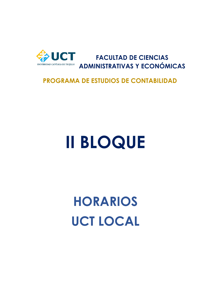

**FACULTAD DE CIENCIAS ADMINISTRATIVAS Y ECONÓMICAS**

#### **PROGRAMA DE ESTUDIOS DE CONTABILIDAD**

# **II BLOQUE**

**HORARIOS UCT LOCAL**